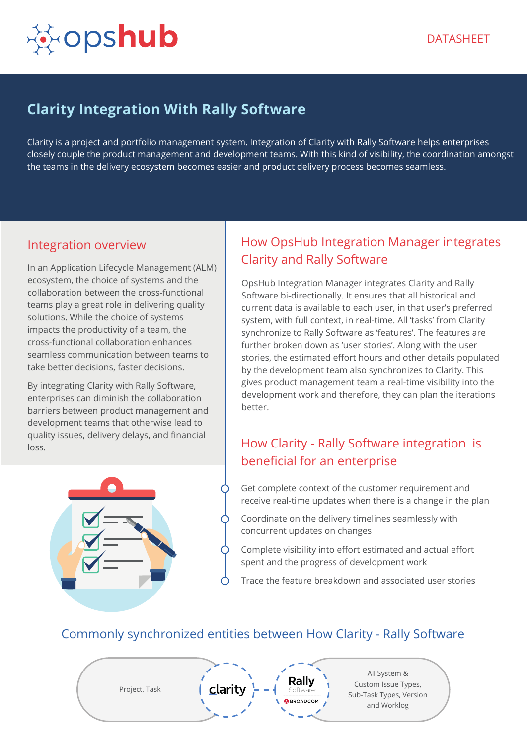

# **Clarity Integration With Rally Software**

Clarity is a project and portfolio management system. Integration of Clarity with Rally Software helps enterprises closely couple the product management and development teams. With this kind of visibility, the coordination amongst the teams in the delivery ecosystem becomes easier and product delivery process becomes seamless.

#### Integration overview

In an Application Lifecycle Management (ALM) ecosystem, the choice of systems and the collaboration between the cross-functional teams play a great role in delivering quality solutions. While the choice of systems impacts the productivity of a team, the cross-functional collaboration enhances seamless communication between teams to take better decisions, faster decisions.

By integrating Clarity with Rally Software, enterprises can diminish the collaboration barriers between product management and development teams that otherwise lead to quality issues, delivery delays, and financial loss.



## How OpsHub Integration Manager integrates Clarity and Rally Software

OpsHub Integration Manager integrates Clarity and Rally Software bi-directionally. It ensures that all historical and current data is available to each user, in that user's preferred system, with full context, in real-time. All 'tasks' from Clarity synchronize to Rally Software as 'features'. The features are further broken down as 'user stories'. Along with the user stories, the estimated effort hours and other details populated by the development team also synchronizes to Clarity. This gives product management team a real-time visibility into the development work and therefore, they can plan the iterations better.

# How Clarity - Rally Software integration is beneficial for an enterprise

Get complete context of the customer requirement and receive real-time updates when there is a change in the plan

- Coordinate on the delivery timelines seamlessly with concurrent updates on changes
- Complete visibility into effort estimated and actual effort spent and the progress of development work
- Trace the feature breakdown and associated user stories

### Commonly synchronized entities between How Clarity - Rally Software

Project, Task

Rallv **BROADCOM** 

All System & Custom Issue Types, Sub-Task Types, Version and Worklog